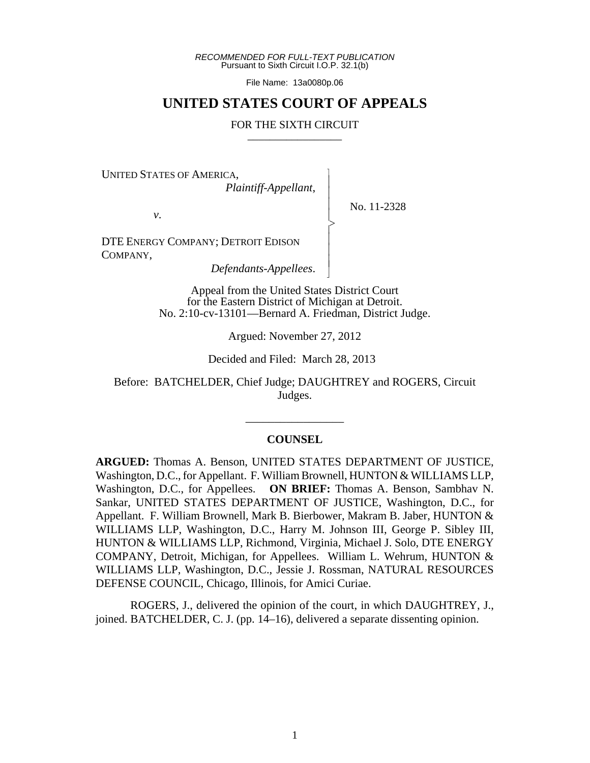*RECOMMENDED FOR FULL-TEXT PUBLICATION* Pursuant to Sixth Circuit I.O.P. 32.1(b)

File Name: 13a0080p.06

# **UNITED STATES COURT OF APPEALS**

#### FOR THE SIXTH CIRCUIT

 $\overline{\phantom{a}}$ - - - > , - - - N

UNITED STATES OF AMERICA,

*Plaintiff-Appellant*,

No. 11-2328

*v*.

DTE ENERGY COMPANY; DETROIT EDISON COMPANY,

*Defendants-Appellees*.

Appeal from the United States District Court for the Eastern District of Michigan at Detroit. No. 2:10-cv-13101—Bernard A. Friedman, District Judge.

Argued: November 27, 2012

Decided and Filed: March 28, 2013

Before: BATCHELDER, Chief Judge; DAUGHTREY and ROGERS, Circuit Judges.

\_\_\_\_\_\_\_\_\_\_\_\_\_\_\_\_\_

### **COUNSEL**

**ARGUED:** Thomas A. Benson, UNITED STATES DEPARTMENT OF JUSTICE, Washington, D.C., for Appellant. F. William Brownell, HUNTON & WILLIAMS LLP, Washington, D.C., for Appellees. **ON BRIEF:** Thomas A. Benson, Sambhav N. Sankar, UNITED STATES DEPARTMENT OF JUSTICE, Washington, D.C., for Appellant. F. William Brownell, Mark B. Bierbower, Makram B. Jaber, HUNTON & WILLIAMS LLP, Washington, D.C., Harry M. Johnson III, George P. Sibley III, HUNTON & WILLIAMS LLP, Richmond, Virginia, Michael J. Solo, DTE ENERGY COMPANY, Detroit, Michigan, for Appellees. William L. Wehrum, HUNTON & WILLIAMS LLP, Washington, D.C., Jessie J. Rossman, NATURAL RESOURCES DEFENSE COUNCIL, Chicago, Illinois, for Amici Curiae.

ROGERS, J., delivered the opinion of the court, in which DAUGHTREY, J., joined. BATCHELDER, C. J. (pp. 14–16), delivered a separate dissenting opinion.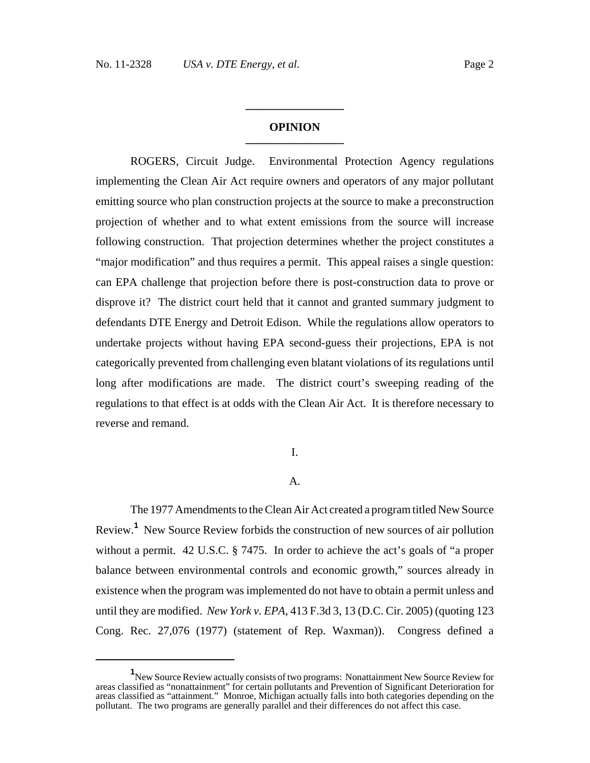### **OPINION \_\_\_\_\_\_\_\_\_\_\_\_\_\_\_\_\_**

**\_\_\_\_\_\_\_\_\_\_\_\_\_\_\_\_\_**

ROGERS, Circuit Judge. Environmental Protection Agency regulations implementing the Clean Air Act require owners and operators of any major pollutant emitting source who plan construction projects at the source to make a preconstruction projection of whether and to what extent emissions from the source will increase following construction. That projection determines whether the project constitutes a "major modification" and thus requires a permit. This appeal raises a single question: can EPA challenge that projection before there is post-construction data to prove or disprove it? The district court held that it cannot and granted summary judgment to defendants DTE Energy and Detroit Edison. While the regulations allow operators to undertake projects without having EPA second-guess their projections, EPA is not categorically prevented from challenging even blatant violations of its regulations until long after modifications are made. The district court's sweeping reading of the regulations to that effect is at odds with the Clean Air Act. It is therefore necessary to reverse and remand.

### I.

#### A.

The 1977 Amendments to the Clean Air Act created a program titled New Source Review.**<sup>1</sup>** New Source Review forbids the construction of new sources of air pollution without a permit. 42 U.S.C. § 7475. In order to achieve the act's goals of "a proper balance between environmental controls and economic growth," sources already in existence when the program was implemented do not have to obtain a permit unless and until they are modified. *New York v. EPA*, 413 F.3d 3, 13 (D.C. Cir. 2005) (quoting 123 Cong. Rec. 27,076 (1977) (statement of Rep. Waxman)). Congress defined a

**<sup>1</sup>** New Source Review actually consists of two programs: Nonattainment New Source Review for areas classified as "nonattainment" for certain pollutants and Prevention of Significant Deterioration for areas classified as "attainment." Monroe, Michigan actually falls into both categories depending on the pollutant. The two programs are generally parallel and their differences do not affect this case.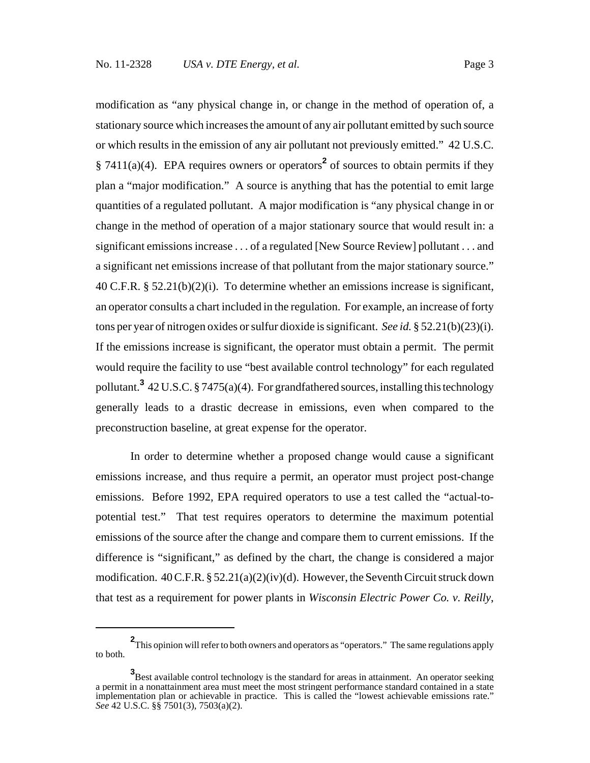modification as "any physical change in, or change in the method of operation of, a stationary source which increases the amount of any air pollutant emitted by such source or which results in the emission of any air pollutant not previously emitted." 42 U.S.C.  $§ 7411(a)(4)$ . EPA requires owners or operators<sup>2</sup> of sources to obtain permits if they plan a "major modification." A source is anything that has the potential to emit large quantities of a regulated pollutant. A major modification is "any physical change in or change in the method of operation of a major stationary source that would result in: a significant emissions increase . . . of a regulated [New Source Review] pollutant . . . and a significant net emissions increase of that pollutant from the major stationary source." 40 C.F.R.  $\S 52.21(b)(2)(i)$ . To determine whether an emissions increase is significant, an operator consults a chart included in the regulation. For example, an increase of forty tons per year of nitrogen oxides or sulfur dioxide is significant. *See id.* § 52.21(b)(23)(i). If the emissions increase is significant, the operator must obtain a permit. The permit would require the facility to use "best available control technology" for each regulated pollutant.**<sup>3</sup>** 42 U.S.C. § 7475(a)(4). For grandfathered sources, installing this technology generally leads to a drastic decrease in emissions, even when compared to the preconstruction baseline, at great expense for the operator.

In order to determine whether a proposed change would cause a significant emissions increase, and thus require a permit, an operator must project post-change emissions. Before 1992, EPA required operators to use a test called the "actual-topotential test." That test requires operators to determine the maximum potential emissions of the source after the change and compare them to current emissions. If the difference is "significant," as defined by the chart, the change is considered a major modification.  $40 \text{ C.F.R.}$  §  $52.21(a)(2)(iv)(d)$ . However, the Seventh Circuit struck down that test as a requirement for power plants in *Wisconsin Electric Power Co. v. Reilly*,

**<sup>2</sup>** This opinion will refer to both owners and operators as "operators." The same regulations apply to both.

**<sup>3</sup>** Best available control technology is the standard for areas in attainment. An operator seeking a permit in a nonattainment area must meet the most stringent performance standard contained in a state implementation plan or achievable in practice. This is called the "lowest achievable emissions rate." *See* 42 U.S.C. §§ 7501(3), 7503(a)(2).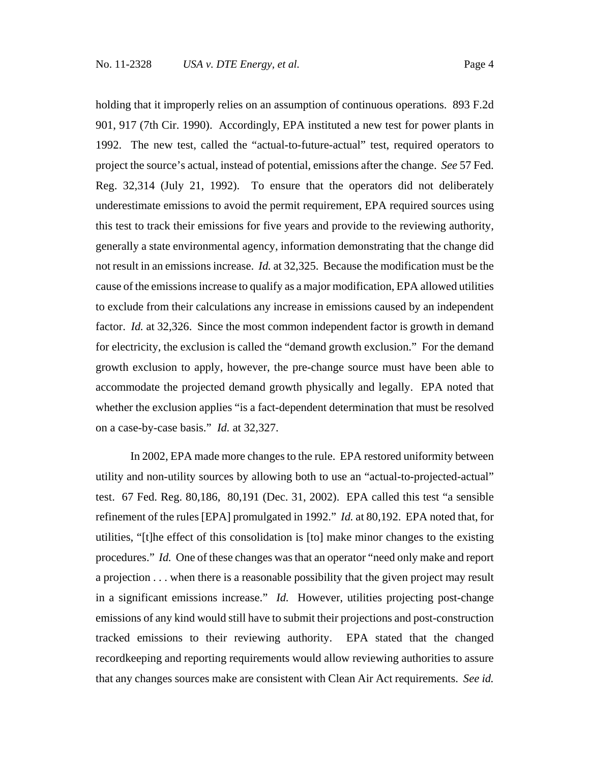holding that it improperly relies on an assumption of continuous operations. 893 F.2d 901, 917 (7th Cir. 1990). Accordingly, EPA instituted a new test for power plants in 1992. The new test, called the "actual-to-future-actual" test, required operators to project the source's actual, instead of potential, emissions after the change. *See* 57 Fed. Reg. 32,314 (July 21, 1992). To ensure that the operators did not deliberately underestimate emissions to avoid the permit requirement, EPA required sources using this test to track their emissions for five years and provide to the reviewing authority, generally a state environmental agency, information demonstrating that the change did not result in an emissions increase. *Id.* at 32,325. Because the modification must be the cause of the emissions increase to qualify as a major modification, EPA allowed utilities to exclude from their calculations any increase in emissions caused by an independent factor. *Id.* at 32,326. Since the most common independent factor is growth in demand for electricity, the exclusion is called the "demand growth exclusion." For the demand growth exclusion to apply, however, the pre-change source must have been able to accommodate the projected demand growth physically and legally. EPA noted that whether the exclusion applies "is a fact-dependent determination that must be resolved on a case-by-case basis." *Id.* at 32,327.

In 2002, EPA made more changes to the rule. EPA restored uniformity between utility and non-utility sources by allowing both to use an "actual-to-projected-actual" test. 67 Fed. Reg. 80,186, 80,191 (Dec. 31, 2002). EPA called this test "a sensible refinement of the rules [EPA] promulgated in 1992." *Id.* at 80,192. EPA noted that, for utilities, "[t]he effect of this consolidation is [to] make minor changes to the existing procedures." *Id.* One of these changes was that an operator "need only make and report a projection . . . when there is a reasonable possibility that the given project may result in a significant emissions increase." *Id.* However, utilities projecting post-change emissions of any kind would still have to submit their projections and post-construction tracked emissions to their reviewing authority. EPA stated that the changed recordkeeping and reporting requirements would allow reviewing authorities to assure that any changes sources make are consistent with Clean Air Act requirements. *See id.*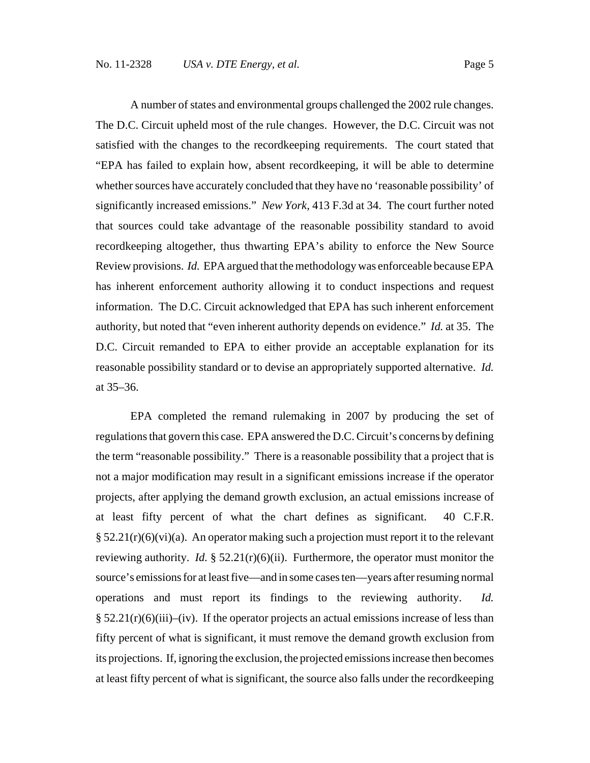A number of states and environmental groups challenged the 2002 rule changes. The D.C. Circuit upheld most of the rule changes. However, the D.C. Circuit was not satisfied with the changes to the recordkeeping requirements. The court stated that "EPA has failed to explain how, absent recordkeeping, it will be able to determine whether sources have accurately concluded that they have no 'reasonable possibility' of significantly increased emissions." *New York,* 413 F.3d at 34. The court further noted that sources could take advantage of the reasonable possibility standard to avoid recordkeeping altogether, thus thwarting EPA's ability to enforce the New Source Review provisions. *Id.* EPA argued that the methodology was enforceable because EPA has inherent enforcement authority allowing it to conduct inspections and request information. The D.C. Circuit acknowledged that EPA has such inherent enforcement authority, but noted that "even inherent authority depends on evidence." *Id.* at 35. The D.C. Circuit remanded to EPA to either provide an acceptable explanation for its reasonable possibility standard or to devise an appropriately supported alternative. *Id.* at 35–36.

EPA completed the remand rulemaking in 2007 by producing the set of regulations that govern this case. EPA answered the D.C. Circuit's concerns by defining the term "reasonable possibility." There is a reasonable possibility that a project that is not a major modification may result in a significant emissions increase if the operator projects, after applying the demand growth exclusion, an actual emissions increase of at least fifty percent of what the chart defines as significant. 40 C.F.R.  $\S 52.21(r)(6)(vi)(a)$ . An operator making such a projection must report it to the relevant reviewing authority. *Id.*  $\S 52.21(r)(6)(ii)$ . Furthermore, the operator must monitor the source's emissions for at least five—and in some cases ten—years after resuming normal operations and must report its findings to the reviewing authority. *Id.*  $\S 52.21(r)(6)(iii)$ –(iv). If the operator projects an actual emissions increase of less than fifty percent of what is significant, it must remove the demand growth exclusion from its projections. If, ignoring the exclusion, the projected emissions increase then becomes at least fifty percent of what is significant, the source also falls under the recordkeeping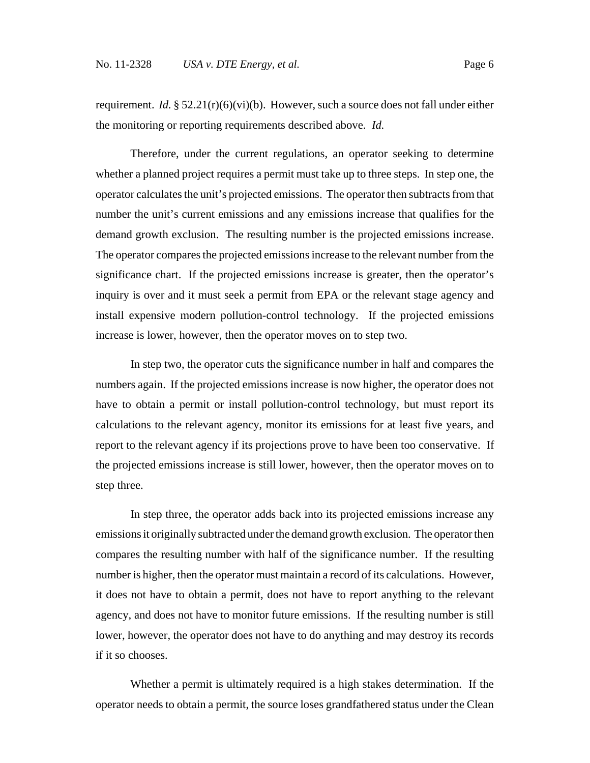requirement. *Id.*  $\S 52.21(r)(6)(vi)(b)$ . However, such a source does not fall under either the monitoring or reporting requirements described above. *Id.*

Therefore, under the current regulations, an operator seeking to determine whether a planned project requires a permit must take up to three steps. In step one, the operator calculates the unit's projected emissions. The operator then subtracts from that number the unit's current emissions and any emissions increase that qualifies for the demand growth exclusion. The resulting number is the projected emissions increase. The operator compares the projected emissions increase to the relevant number from the significance chart. If the projected emissions increase is greater, then the operator's inquiry is over and it must seek a permit from EPA or the relevant stage agency and install expensive modern pollution-control technology. If the projected emissions increase is lower, however, then the operator moves on to step two.

In step two, the operator cuts the significance number in half and compares the numbers again. If the projected emissions increase is now higher, the operator does not have to obtain a permit or install pollution-control technology, but must report its calculations to the relevant agency, monitor its emissions for at least five years, and report to the relevant agency if its projections prove to have been too conservative. If the projected emissions increase is still lower, however, then the operator moves on to step three.

In step three, the operator adds back into its projected emissions increase any emissions it originally subtracted under the demand growth exclusion. The operator then compares the resulting number with half of the significance number. If the resulting number is higher, then the operator must maintain a record of its calculations. However, it does not have to obtain a permit, does not have to report anything to the relevant agency, and does not have to monitor future emissions. If the resulting number is still lower, however, the operator does not have to do anything and may destroy its records if it so chooses.

Whether a permit is ultimately required is a high stakes determination. If the operator needs to obtain a permit, the source loses grandfathered status under the Clean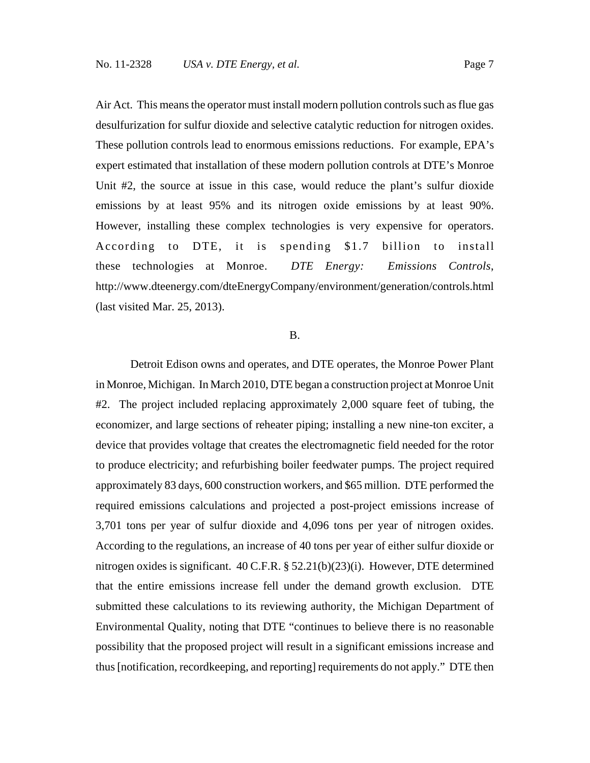Air Act. This means the operator must install modern pollution controls such as flue gas desulfurization for sulfur dioxide and selective catalytic reduction for nitrogen oxides. These pollution controls lead to enormous emissions reductions. For example, EPA's expert estimated that installation of these modern pollution controls at DTE's Monroe Unit #2, the source at issue in this case, would reduce the plant's sulfur dioxide emissions by at least 95% and its nitrogen oxide emissions by at least 90%. However, installing these complex technologies is very expensive for operators. According to DTE, it is spending \$1.7 billion to install these technologies at Monroe. *DTE Energy: Emissions Controls*, http://www.dteenergy.com/dteEnergyCompany/environment/generation/controls.html (last visited Mar. 25, 2013).

#### B.

Detroit Edison owns and operates, and DTE operates, the Monroe Power Plant in Monroe, Michigan. In March 2010, DTE began a construction project at Monroe Unit #2. The project included replacing approximately 2,000 square feet of tubing, the economizer, and large sections of reheater piping; installing a new nine-ton exciter, a device that provides voltage that creates the electromagnetic field needed for the rotor to produce electricity; and refurbishing boiler feedwater pumps. The project required approximately 83 days, 600 construction workers, and \$65 million. DTE performed the required emissions calculations and projected a post-project emissions increase of 3,701 tons per year of sulfur dioxide and 4,096 tons per year of nitrogen oxides. According to the regulations, an increase of 40 tons per year of either sulfur dioxide or nitrogen oxides is significant. 40 C.F.R. § 52.21(b)(23)(i). However, DTE determined that the entire emissions increase fell under the demand growth exclusion. DTE submitted these calculations to its reviewing authority, the Michigan Department of Environmental Quality, noting that DTE "continues to believe there is no reasonable possibility that the proposed project will result in a significant emissions increase and thus [notification, recordkeeping, and reporting] requirements do not apply." DTE then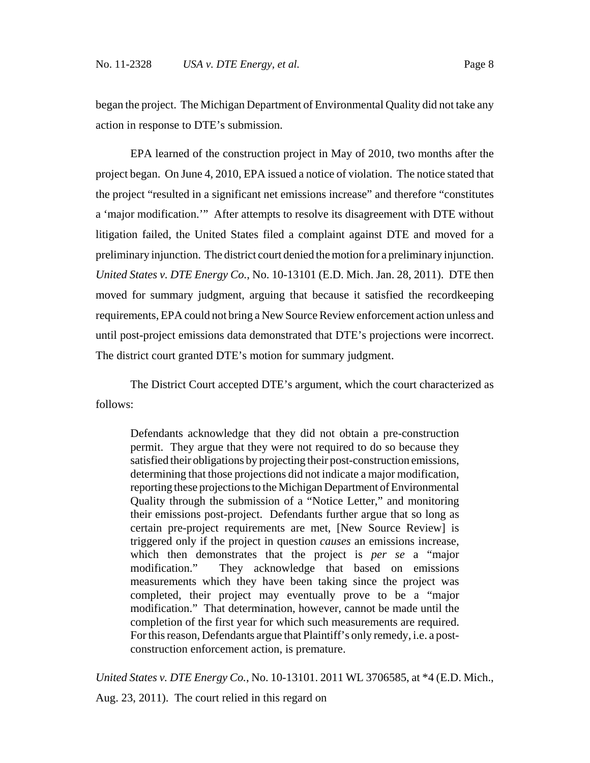began the project. The Michigan Department of Environmental Quality did not take any action in response to DTE's submission.

EPA learned of the construction project in May of 2010, two months after the project began. On June 4, 2010, EPA issued a notice of violation. The notice stated that the project "resulted in a significant net emissions increase" and therefore "constitutes a 'major modification.'" After attempts to resolve its disagreement with DTE without litigation failed, the United States filed a complaint against DTE and moved for a preliminary injunction. The district court denied the motion for a preliminary injunction. *United States v. DTE Energy Co.*, No. 10-13101 (E.D. Mich. Jan. 28, 2011). DTE then moved for summary judgment, arguing that because it satisfied the recordkeeping requirements, EPA could not bring a New Source Review enforcement action unless and until post-project emissions data demonstrated that DTE's projections were incorrect. The district court granted DTE's motion for summary judgment.

The District Court accepted DTE's argument, which the court characterized as follows:

Defendants acknowledge that they did not obtain a pre-construction permit. They argue that they were not required to do so because they satisfied their obligations by projecting their post-construction emissions, determining that those projections did not indicate a major modification, reporting these projections to the Michigan Department of Environmental Quality through the submission of a "Notice Letter," and monitoring their emissions post-project. Defendants further argue that so long as certain pre-project requirements are met, [New Source Review] is triggered only if the project in question *causes* an emissions increase, which then demonstrates that the project is *per se* a "major modification." They acknowledge that based on emissions measurements which they have been taking since the project was completed, their project may eventually prove to be a "major modification." That determination, however, cannot be made until the completion of the first year for which such measurements are required. For this reason, Defendants argue that Plaintiff's only remedy, i.e. a postconstruction enforcement action, is premature.

*United States v. DTE Energy Co.*, No. 10-13101. 2011 WL 3706585, at \*4 (E.D. Mich.,

Aug. 23, 2011). The court relied in this regard on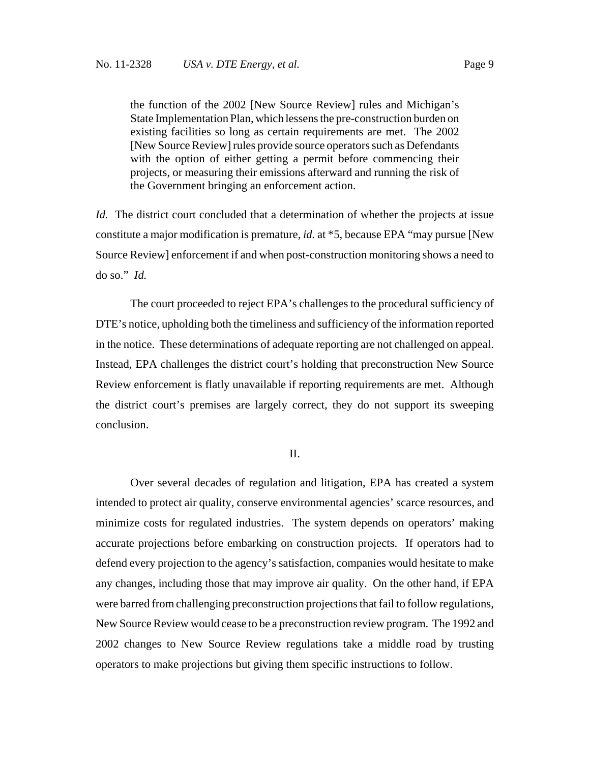the function of the 2002 [New Source Review] rules and Michigan's State Implementation Plan, which lessens the pre-construction burden on existing facilities so long as certain requirements are met. The 2002 [New Source Review] rules provide source operators such as Defendants with the option of either getting a permit before commencing their projects, or measuring their emissions afterward and running the risk of the Government bringing an enforcement action.

*Id.* The district court concluded that a determination of whether the projects at issue constitute a major modification is premature, *id.* at \*5, because EPA "may pursue [New Source Review] enforcement if and when post-construction monitoring shows a need to do so." *Id.*

The court proceeded to reject EPA's challenges to the procedural sufficiency of DTE's notice, upholding both the timeliness and sufficiency of the information reported in the notice. These determinations of adequate reporting are not challenged on appeal. Instead, EPA challenges the district court's holding that preconstruction New Source Review enforcement is flatly unavailable if reporting requirements are met. Although the district court's premises are largely correct, they do not support its sweeping conclusion.

#### II.

Over several decades of regulation and litigation, EPA has created a system intended to protect air quality, conserve environmental agencies' scarce resources, and minimize costs for regulated industries. The system depends on operators' making accurate projections before embarking on construction projects. If operators had to defend every projection to the agency's satisfaction, companies would hesitate to make any changes, including those that may improve air quality. On the other hand, if EPA were barred from challenging preconstruction projections that fail to follow regulations, New Source Review would cease to be a preconstruction review program. The 1992 and 2002 changes to New Source Review regulations take a middle road by trusting operators to make projections but giving them specific instructions to follow.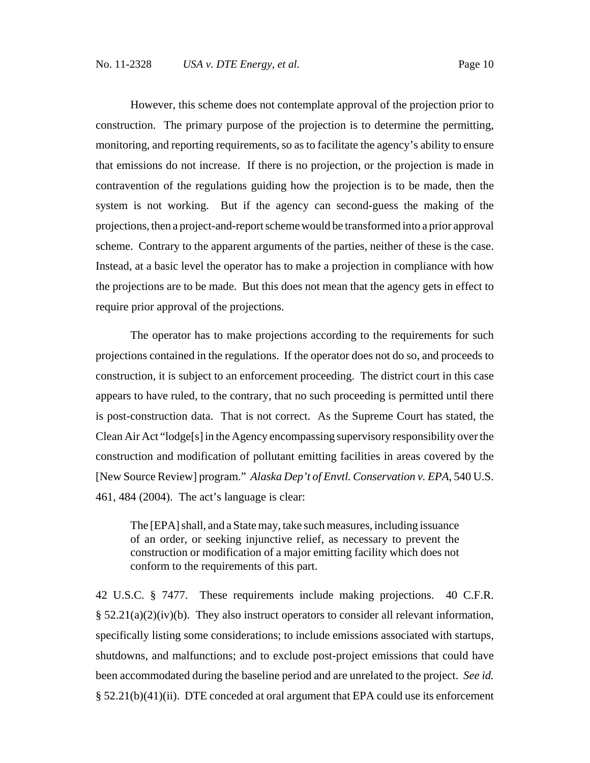However, this scheme does not contemplate approval of the projection prior to construction. The primary purpose of the projection is to determine the permitting, monitoring, and reporting requirements, so as to facilitate the agency's ability to ensure that emissions do not increase. If there is no projection, or the projection is made in contravention of the regulations guiding how the projection is to be made, then the system is not working. But if the agency can second-guess the making of the projections, then a project-and-report scheme would be transformed into a prior approval scheme. Contrary to the apparent arguments of the parties, neither of these is the case. Instead, at a basic level the operator has to make a projection in compliance with how the projections are to be made. But this does not mean that the agency gets in effect to require prior approval of the projections.

The operator has to make projections according to the requirements for such projections contained in the regulations. If the operator does not do so, and proceeds to construction, it is subject to an enforcement proceeding. The district court in this case appears to have ruled, to the contrary, that no such proceeding is permitted until there is post-construction data. That is not correct. As the Supreme Court has stated, the Clean Air Act "lodge[s] in the Agency encompassing supervisory responsibility over the construction and modification of pollutant emitting facilities in areas covered by the [New Source Review] program." *Alaska Dep't of Envtl. Conservation v. EPA*, 540 U.S. 461, 484 (2004). The act's language is clear:

The [EPA] shall, and a State may, take such measures, including issuance of an order, or seeking injunctive relief, as necessary to prevent the construction or modification of a major emitting facility which does not conform to the requirements of this part.

42 U.S.C. § 7477. These requirements include making projections. 40 C.F.R.  $\S 52.21(a)(2)(iv)(b)$ . They also instruct operators to consider all relevant information, specifically listing some considerations; to include emissions associated with startups, shutdowns, and malfunctions; and to exclude post-project emissions that could have been accommodated during the baseline period and are unrelated to the project. *See id.* § 52.21(b)(41)(ii). DTE conceded at oral argument that EPA could use its enforcement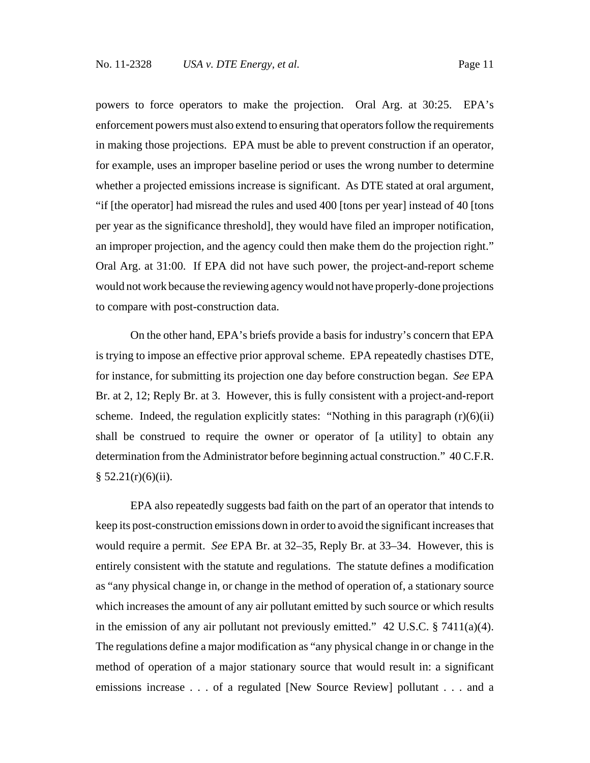powers to force operators to make the projection. Oral Arg. at 30:25. EPA's enforcement powers must also extend to ensuring that operators follow the requirements in making those projections. EPA must be able to prevent construction if an operator, for example, uses an improper baseline period or uses the wrong number to determine whether a projected emissions increase is significant. As DTE stated at oral argument, "if [the operator] had misread the rules and used 400 [tons per year] instead of 40 [tons per year as the significance threshold], they would have filed an improper notification, an improper projection, and the agency could then make them do the projection right." Oral Arg. at 31:00. If EPA did not have such power, the project-and-report scheme would not work because the reviewing agency would not have properly-done projections to compare with post-construction data.

On the other hand, EPA's briefs provide a basis for industry's concern that EPA is trying to impose an effective prior approval scheme. EPA repeatedly chastises DTE, for instance, for submitting its projection one day before construction began. *See* EPA Br. at 2, 12; Reply Br. at 3. However, this is fully consistent with a project-and-report scheme. Indeed, the regulation explicitly states: "Nothing in this paragraph  $(r)(6)(ii)$ shall be construed to require the owner or operator of [a utility] to obtain any determination from the Administrator before beginning actual construction." 40 C.F.R.  $§ 52.21(r)(6)(ii).$ 

EPA also repeatedly suggests bad faith on the part of an operator that intends to keep its post-construction emissions down in order to avoid the significant increases that would require a permit. *See* EPA Br. at 32–35, Reply Br. at 33–34. However, this is entirely consistent with the statute and regulations. The statute defines a modification as "any physical change in, or change in the method of operation of, a stationary source which increases the amount of any air pollutant emitted by such source or which results in the emission of any air pollutant not previously emitted." 42 U.S.C. § 7411(a)(4). The regulations define a major modification as "any physical change in or change in the method of operation of a major stationary source that would result in: a significant emissions increase . . . of a regulated [New Source Review] pollutant . . . and a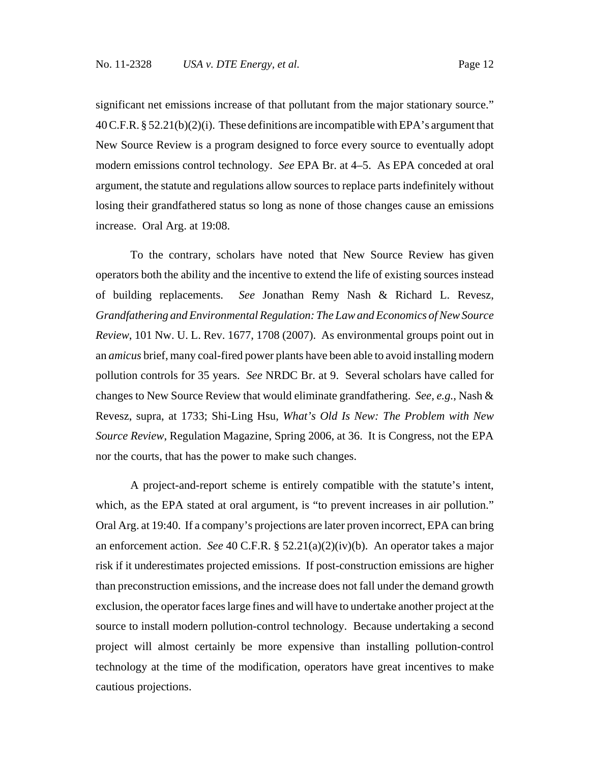significant net emissions increase of that pollutant from the major stationary source." 40 C.F.R. § 52.21(b)(2)(i). These definitions are incompatible with EPA's argument that New Source Review is a program designed to force every source to eventually adopt modern emissions control technology. *See* EPA Br. at 4–5. As EPA conceded at oral argument, the statute and regulations allow sources to replace parts indefinitely without losing their grandfathered status so long as none of those changes cause an emissions increase. Oral Arg. at 19:08.

 To the contrary, scholars have noted that New Source Review has given operators both the ability and the incentive to extend the life of existing sources instead of building replacements. *See* Jonathan Remy Nash & Richard L. Revesz, *Grandfathering and Environmental Regulation: The Law and Economics of New Source Review*, 101 Nw. U. L. Rev. 1677, 1708 (2007). As environmental groups point out in an *amicus* brief, many coal-fired power plants have been able to avoid installing modern pollution controls for 35 years. *See* NRDC Br. at 9. Several scholars have called for changes to New Source Review that would eliminate grandfathering. *See, e.g.*, Nash & Revesz, supra, at 1733; Shi-Ling Hsu, *What's Old Is New: The Problem with New Source Review*, Regulation Magazine, Spring 2006, at 36. It is Congress, not the EPA nor the courts, that has the power to make such changes.

A project-and-report scheme is entirely compatible with the statute's intent, which, as the EPA stated at oral argument, is "to prevent increases in air pollution." Oral Arg. at 19:40. If a company's projections are later proven incorrect, EPA can bring an enforcement action. *See* 40 C.F.R. § 52.21(a)(2)(iv)(b). An operator takes a major risk if it underestimates projected emissions. If post-construction emissions are higher than preconstruction emissions, and the increase does not fall under the demand growth exclusion, the operator faces large fines and will have to undertake another project at the source to install modern pollution-control technology. Because undertaking a second project will almost certainly be more expensive than installing pollution-control technology at the time of the modification, operators have great incentives to make cautious projections.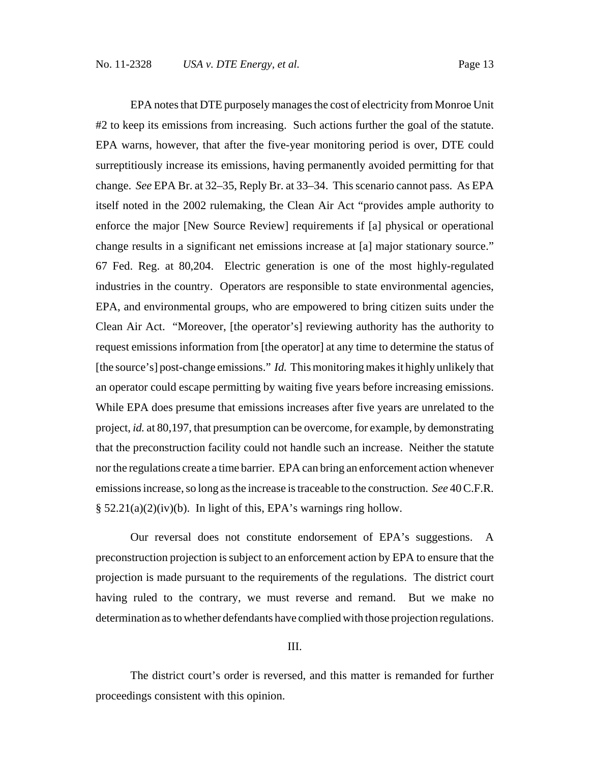EPA notes that DTE purposely manages the cost of electricity from Monroe Unit #2 to keep its emissions from increasing. Such actions further the goal of the statute. EPA warns, however, that after the five-year monitoring period is over, DTE could surreptitiously increase its emissions, having permanently avoided permitting for that change. *See* EPA Br. at 32–35, Reply Br. at 33–34. This scenario cannot pass. As EPA itself noted in the 2002 rulemaking, the Clean Air Act "provides ample authority to enforce the major [New Source Review] requirements if [a] physical or operational change results in a significant net emissions increase at [a] major stationary source." 67 Fed. Reg. at 80,204. Electric generation is one of the most highly-regulated industries in the country. Operators are responsible to state environmental agencies, EPA, and environmental groups, who are empowered to bring citizen suits under the Clean Air Act. "Moreover, [the operator's] reviewing authority has the authority to request emissions information from [the operator] at any time to determine the status of [the source's] post-change emissions." *Id.* This monitoring makes it highly unlikely that an operator could escape permitting by waiting five years before increasing emissions. While EPA does presume that emissions increases after five years are unrelated to the project, *id.* at 80,197, that presumption can be overcome, for example, by demonstrating that the preconstruction facility could not handle such an increase. Neither the statute nor the regulations create a time barrier. EPA can bring an enforcement action whenever emissions increase, so long as the increase is traceable to the construction. *See* 40 C.F.R. § 52.21(a)(2)(iv)(b). In light of this, EPA's warnings ring hollow.

Our reversal does not constitute endorsement of EPA's suggestions. A preconstruction projection is subject to an enforcement action by EPA to ensure that the projection is made pursuant to the requirements of the regulations. The district court having ruled to the contrary, we must reverse and remand. But we make no determination as to whether defendants have complied with those projection regulations.

#### III.

The district court's order is reversed, and this matter is remanded for further proceedings consistent with this opinion.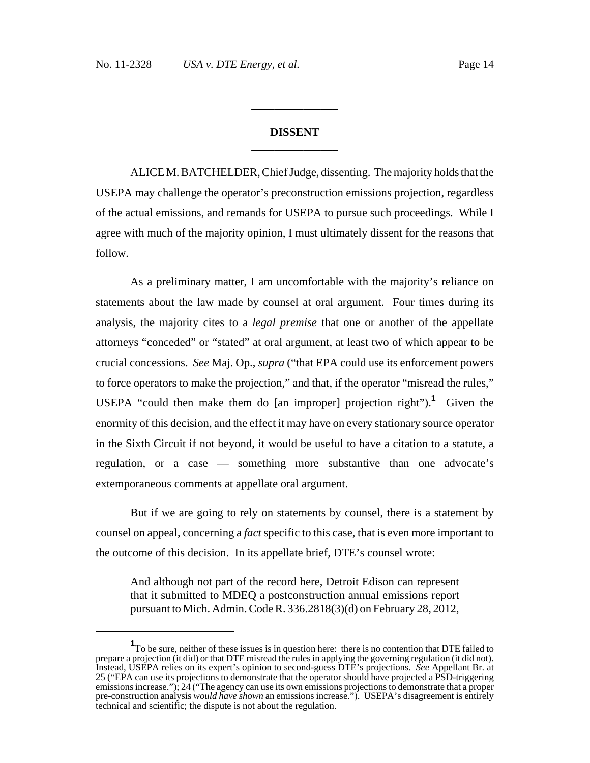## **DISSENT \_\_\_\_\_\_\_\_\_\_\_\_\_\_\_**

**\_\_\_\_\_\_\_\_\_\_\_\_\_\_\_**

ALICE M. BATCHELDER, Chief Judge, dissenting. The majority holds that the USEPA may challenge the operator's preconstruction emissions projection, regardless of the actual emissions, and remands for USEPA to pursue such proceedings. While I agree with much of the majority opinion, I must ultimately dissent for the reasons that follow.

As a preliminary matter, I am uncomfortable with the majority's reliance on statements about the law made by counsel at oral argument. Four times during its analysis, the majority cites to a *legal premise* that one or another of the appellate attorneys "conceded" or "stated" at oral argument, at least two of which appear to be crucial concessions. *See* Maj. Op., *supra* ("that EPA could use its enforcement powers to force operators to make the projection," and that, if the operator "misread the rules," USEPA "could then make them do [an improper] projection right").**<sup>1</sup>** Given the enormity of this decision, and the effect it may have on every stationary source operator in the Sixth Circuit if not beyond, it would be useful to have a citation to a statute, a regulation, or a case — something more substantive than one advocate's extemporaneous comments at appellate oral argument.

But if we are going to rely on statements by counsel, there is a statement by counsel on appeal, concerning a *fact* specific to this case, that is even more important to the outcome of this decision. In its appellate brief, DTE's counsel wrote:

And although not part of the record here, Detroit Edison can represent that it submitted to MDEQ a postconstruction annual emissions report pursuant to Mich. Admin. Code R. 336.2818(3)(d) on February 28, 2012,

<sup>&</sup>lt;sup>1</sup>To be sure, neither of these issues is in question here: there is no contention that DTE failed to prepare a projection (it did) or that DTE misread the rules in applying the governing regulation (it did not). Instead, USEPA relies on its expert's opinion to second-guess DTE's projections. *See* Appellant Br. at 25 ("EPA can use its projections to demonstrate that the operator should have projected a PSD-triggering emissions increase."); 24 ("The agency can use its own emissions projections to demonstrate that a proper pre-construction analysis *would have shown* an emissions increase."). USEPA's disagreement is entirely technical and scientific; the dispute is not about the regulation.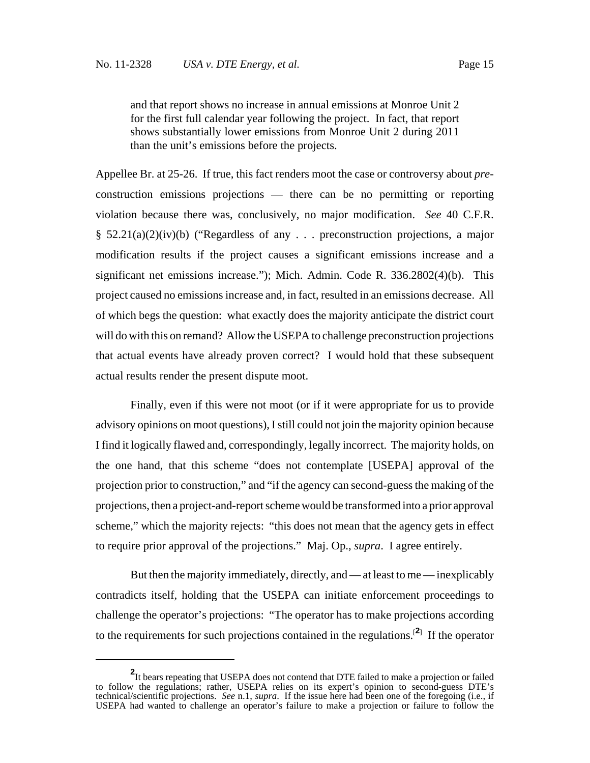and that report shows no increase in annual emissions at Monroe Unit 2 for the first full calendar year following the project. In fact, that report shows substantially lower emissions from Monroe Unit 2 during 2011 than the unit's emissions before the projects.

Appellee Br. at 25-26. If true, this fact renders moot the case or controversy about *pre*construction emissions projections — there can be no permitting or reporting violation because there was, conclusively, no major modification. *See* 40 C.F.R. §  $52.21(a)(2)(iv)(b)$  ("Regardless of any ... preconstruction projections, a major modification results if the project causes a significant emissions increase and a significant net emissions increase."); Mich. Admin. Code R. 336.2802(4)(b). This project caused no emissions increase and, in fact, resulted in an emissions decrease. All of which begs the question: what exactly does the majority anticipate the district court will do with this on remand? Allow the USEPA to challenge preconstruction projections that actual events have already proven correct? I would hold that these subsequent actual results render the present dispute moot.

Finally, even if this were not moot (or if it were appropriate for us to provide advisory opinions on moot questions), I still could not join the majority opinion because I find it logically flawed and, correspondingly, legally incorrect. The majority holds, on the one hand, that this scheme "does not contemplate [USEPA] approval of the projection prior to construction," and "if the agency can second-guess the making of the projections, then a project-and-report scheme would be transformed into a prior approval scheme," which the majority rejects: "this does not mean that the agency gets in effect to require prior approval of the projections." Maj. Op., *supra*. I agree entirely.

But then the majority immediately, directly, and — at least to me — inexplicably contradicts itself, holding that the USEPA can initiate enforcement proceedings to challenge the operator's projections: "The operator has to make projections according to the requirements for such projections contained in the regulations.[**<sup>2</sup>**] If the operator

**<sup>2</sup>** It bears repeating that USEPA does not contend that DTE failed to make a projection or failed to follow the regulations; rather, USEPA relies on its expert's opinion to second-guess DTE's technical/scientific projections. *See* n.1, *supra*. If the issue here had been one of the foregoing (i.e., if USEPA had wanted to challenge an operator's failure to make a projection or failure to follow the